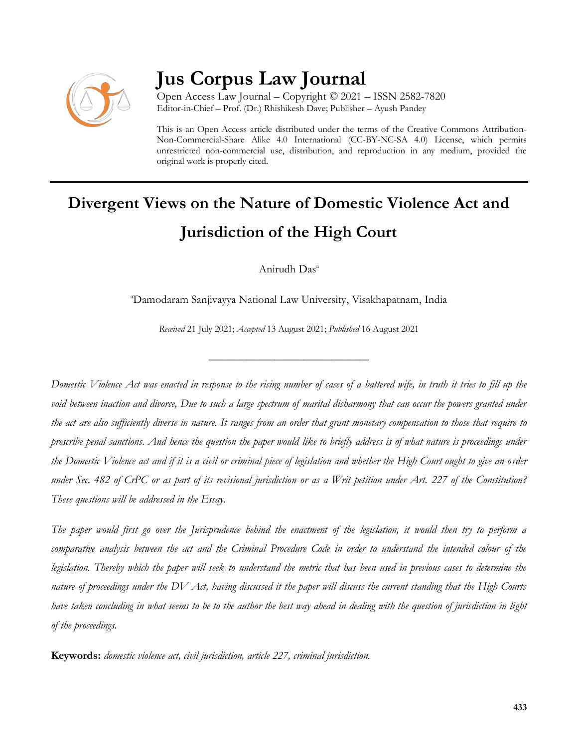

# **Jus Corpus Law Journal**

Open Access Law Journal – Copyright © 2021 – ISSN 2582-7820 Editor-in-Chief – Prof. (Dr.) Rhishikesh Dave; Publisher – Ayush Pandey

This is an Open Access article distributed under the terms of the Creative Commons Attribution-Non-Commercial-Share Alike 4.0 International (CC-BY-NC-SA 4.0) License, which permits unrestricted non-commercial use, distribution, and reproduction in any medium, provided the original work is properly cited.

# **Divergent Views on the Nature of Domestic Violence Act and Jurisdiction of the High Court**

Anirudh Das<sup>a</sup>

<sup>a</sup>Damodaram Sanjivayya National Law University, Visakhapatnam, India

*Received* 21 July 2021; *Accepted* 13 August 2021; *Published* 16 August 2021

\_\_\_\_\_\_\_\_\_\_\_\_\_\_\_\_\_\_\_\_\_\_\_\_\_\_\_\_\_\_\_\_\_\_

*Domestic Violence Act was enacted in response to the rising number of cases of a battered wife, in truth it tries to fill up the void between inaction and divorce, Due to such a large spectrum of marital disharmony that can occur the powers granted under the act are also sufficiently diverse in nature. It ranges from an order that grant monetary compensation to those that require to prescribe penal sanctions. And hence the question the paper would like to briefly address is of what nature is proceedings under the Domestic Violence act and if it is a civil or criminal piece of legislation and whether the High Court ought to give an order under Sec. 482 of CrPC or as part of its revisional jurisdiction or as a Writ petition under Art. 227 of the Constitution? These questions will be addressed in the Essay.*

*The paper would first go over the Jurisprudence behind the enactment of the legislation, it would then try to perform a comparative analysis between the act and the Criminal Procedure Code in order to understand the intended colour of the legislation. Thereby which the paper will seek to understand the metric that has been used in previous cases to determine the nature of proceedings under the DV Act, having discussed it the paper will discuss the current standing that the High Courts have taken concluding in what seems to be to the author the best way ahead in dealing with the question of jurisdiction in light of the proceedings.*

**Keywords:** *domestic violence act, civil jurisdiction, article 227, criminal jurisdiction.*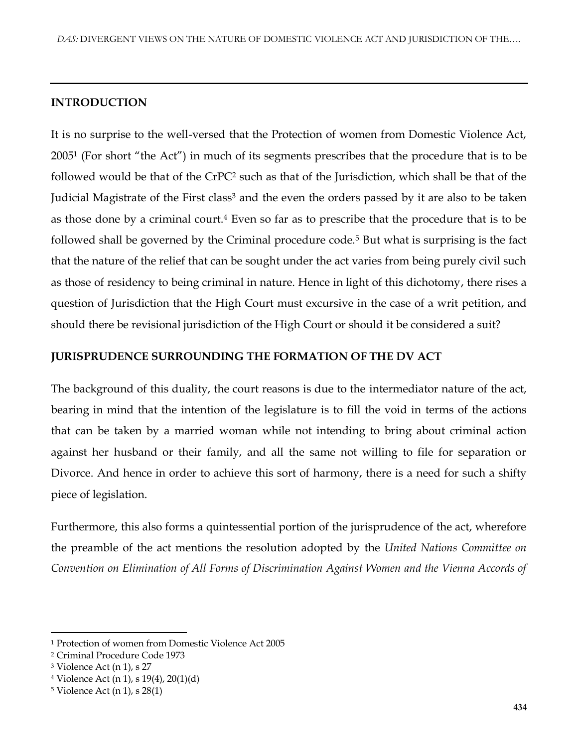## **INTRODUCTION**

It is no surprise to the well-versed that the Protection of women from Domestic Violence Act, 2005<sup>1</sup> (For short "the Act") in much of its segments prescribes that the procedure that is to be followed would be that of the CrPC<sup>2</sup> such as that of the Jurisdiction, which shall be that of the Judicial Magistrate of the First class<sup>3</sup> and the even the orders passed by it are also to be taken as those done by a criminal court.<sup>4</sup> Even so far as to prescribe that the procedure that is to be followed shall be governed by the Criminal procedure code.<sup>5</sup> But what is surprising is the fact that the nature of the relief that can be sought under the act varies from being purely civil such as those of residency to being criminal in nature. Hence in light of this dichotomy, there rises a question of Jurisdiction that the High Court must excursive in the case of a writ petition, and should there be revisional jurisdiction of the High Court or should it be considered a suit?

#### **JURISPRUDENCE SURROUNDING THE FORMATION OF THE DV ACT**

The background of this duality, the court reasons is due to the intermediator nature of the act, bearing in mind that the intention of the legislature is to fill the void in terms of the actions that can be taken by a married woman while not intending to bring about criminal action against her husband or their family, and all the same not willing to file for separation or Divorce. And hence in order to achieve this sort of harmony, there is a need for such a shifty piece of legislation.

Furthermore, this also forms a quintessential portion of the jurisprudence of the act, wherefore the preamble of the act mentions the resolution adopted by the *United Nations Committee on Convention on Elimination of All Forms of Discrimination Against Women and the Vienna Accords of* 

<sup>1</sup> Protection of women from Domestic Violence Act 2005

<sup>2</sup> Criminal Procedure Code 1973

<sup>3</sup> Violence Act (n 1), s 27

<sup>4</sup> Violence Act (n 1), s 19(4), 20(1)(d)

<sup>5</sup> Violence Act (n 1), s 28(1)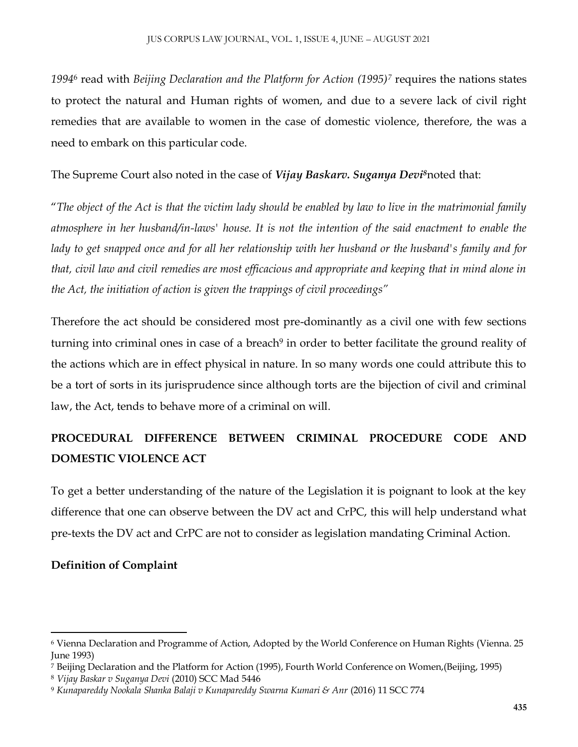*1994*<sup>6</sup> read with *Beijing Declaration and the Platform for Action (1995)<sup>7</sup>* requires the nations states to protect the natural and Human rights of women, and due to a severe lack of civil right remedies that are available to women in the case of domestic violence, therefore, the was a need to embark on this particular code.

The Supreme Court also noted in the case of *Vijay Baskarv. Suganya Devi<sup>8</sup>*noted that:

"*The object of the Act is that the victim lady should be enabled by law to live in the matrimonial family atmosphere in her husband/in-laws' house. It is not the intention of the said enactment to enable the lady to get snapped once and for all her relationship with her husband or the husband's family and for that, civil law and civil remedies are most efficacious and appropriate and keeping that in mind alone in the Act, the initiation of action is given the trappings of civil proceedings"*

Therefore the act should be considered most pre-dominantly as a civil one with few sections turning into criminal ones in case of a breach<sup>9</sup> in order to better facilitate the ground reality of the actions which are in effect physical in nature. In so many words one could attribute this to be a tort of sorts in its jurisprudence since although torts are the bijection of civil and criminal law, the Act, tends to behave more of a criminal on will.

# **PROCEDURAL DIFFERENCE BETWEEN CRIMINAL PROCEDURE CODE AND DOMESTIC VIOLENCE ACT**

To get a better understanding of the nature of the Legislation it is poignant to look at the key difference that one can observe between the DV act and CrPC, this will help understand what pre-texts the DV act and CrPC are not to consider as legislation mandating Criminal Action.

# **Definition of Complaint**

<sup>6</sup> Vienna Declaration and Programme of Action, Adopted by the World Conference on Human Rights (Vienna. 25 June 1993)

<sup>7</sup> Beijing Declaration and the Platform for Action (1995), Fourth World Conference on Women,(Beijing, 1995)

<sup>8</sup> *Vijay Baskar v Suganya Devi* (2010) SCC Mad 5446

<sup>9</sup> *Kunapareddy Nookala Shanka Balaji v Kunapareddy Swarna Kumari & Anr* (2016) 11 SCC 774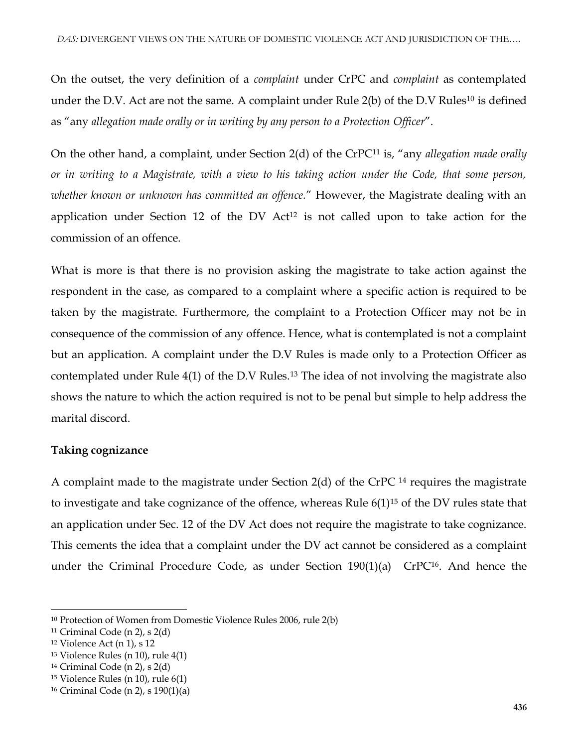On the outset, the very definition of a *complaint* under CrPC and *complaint* as contemplated under the D.V. Act are not the same. A complaint under Rule 2(b) of the D.V Rules<sup>10</sup> is defined as "any *allegation made orally or in writing by any person to a Protection Officer*".

On the other hand, a complaint, under Section 2(d) of the CrPC<sup>11</sup> is, "any *allegation made orally or in writing to a Magistrate, with a view to his taking action under the Code, that some person, whether known or unknown has committed an offence.*" However, the Magistrate dealing with an application under Section 12 of the DV Act<sup>12</sup> is not called upon to take action for the commission of an offence.

What is more is that there is no provision asking the magistrate to take action against the respondent in the case, as compared to a complaint where a specific action is required to be taken by the magistrate. Furthermore, the complaint to a Protection Officer may not be in consequence of the commission of any offence. Hence, what is contemplated is not a complaint but an application. A complaint under the D.V Rules is made only to a Protection Officer as contemplated under Rule 4(1) of the D.V Rules.<sup>13</sup> The idea of not involving the magistrate also shows the nature to which the action required is not to be penal but simple to help address the marital discord.

# **Taking cognizance**

A complaint made to the magistrate under Section 2(d) of the CrPC <sup>14</sup> requires the magistrate to investigate and take cognizance of the offence, whereas Rule 6(1)<sup>15</sup> of the DV rules state that an application under Sec. 12 of the DV Act does not require the magistrate to take cognizance. This cements the idea that a complaint under the DV act cannot be considered as a complaint under the Criminal Procedure Code, as under Section  $190(1)(a)$  CrPC<sup>16</sup>. And hence the

 $\overline{a}$ <sup>10</sup> Protection of Women from Domestic Violence Rules 2006, rule 2(b)

<sup>&</sup>lt;sup>11</sup> Criminal Code (n 2), s  $2(d)$ 

<sup>12</sup> Violence Act (n 1), s 12

 $13$  Violence Rules (n 10), rule  $4(1)$ 

 $14$  Criminal Code (n 2), s 2(d)

<sup>15</sup> Violence Rules (n 10), rule 6(1)

<sup>16</sup> Criminal Code (n 2), s 190(1)(a)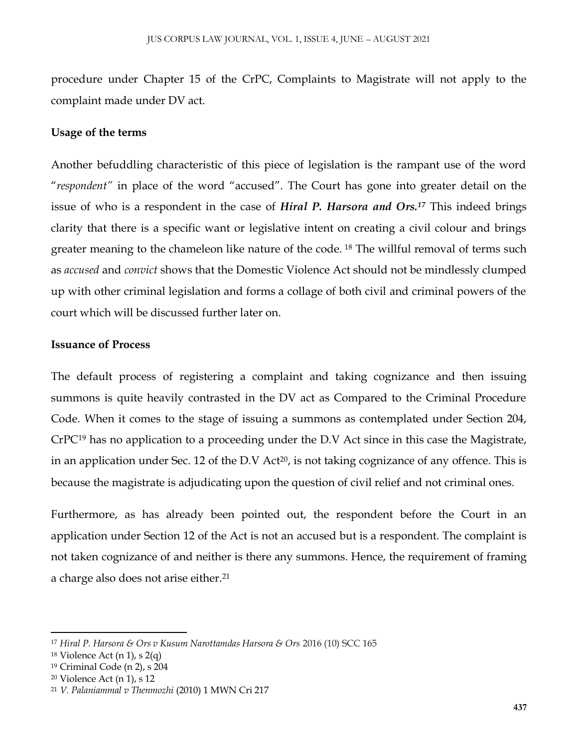procedure under Chapter 15 of the CrPC, Complaints to Magistrate will not apply to the complaint made under DV act.

#### **Usage of the terms**

Another befuddling characteristic of this piece of legislation is the rampant use of the word "*respondent"* in place of the word "accused". The Court has gone into greater detail on the issue of who is a respondent in the case of *Hiral P. Harsora and Ors.<sup>17</sup>* This indeed brings clarity that there is a specific want or legislative intent on creating a civil colour and brings greater meaning to the chameleon like nature of the code. <sup>18</sup> The willful removal of terms such as *accused* and *convict* shows that the Domestic Violence Act should not be mindlessly clumped up with other criminal legislation and forms a collage of both civil and criminal powers of the court which will be discussed further later on.

#### **Issuance of Process**

The default process of registering a complaint and taking cognizance and then issuing summons is quite heavily contrasted in the DV act as Compared to the Criminal Procedure Code. When it comes to the stage of issuing a summons as contemplated under Section 204, CrPC<sup>19</sup> has no application to a proceeding under the D.V Act since in this case the Magistrate, in an application under Sec. 12 of the D.V Act<sup>20</sup>, is not taking cognizance of any offence. This is because the magistrate is adjudicating upon the question of civil relief and not criminal ones.

Furthermore, as has already been pointed out, the respondent before the Court in an application under Section 12 of the Act is not an accused but is a respondent. The complaint is not taken cognizance of and neither is there any summons. Hence, the requirement of framing a charge also does not arise either.<sup>21</sup>

<sup>17</sup> *Hiral P. Harsora & Ors v Kusum Narottamdas Harsora & Ors* 2016 (10) SCC 165

<sup>&</sup>lt;sup>18</sup> Violence Act (n 1), s  $2(q)$ 

<sup>19</sup> Criminal Code (n 2), s 204

<sup>20</sup> Violence Act (n 1), s 12

<sup>21</sup> *V. Palaniammal v Thenmozhi* (2010) 1 MWN Cri 217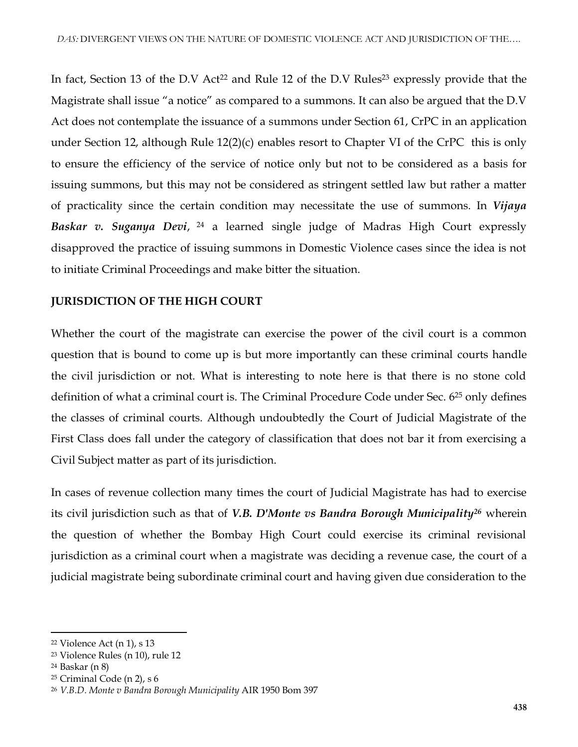In fact, Section 13 of the D.V Act<sup>22</sup> and Rule 12 of the D.V Rules<sup>23</sup> expressly provide that the Magistrate shall issue "a notice" as compared to a summons. It can also be argued that the D.V Act does not contemplate the issuance of a summons under Section 61, CrPC in an application under Section 12, although Rule 12(2)(c) enables resort to Chapter VI of the CrPC this is only to ensure the efficiency of the service of notice only but not to be considered as a basis for issuing summons, but this may not be considered as stringent settled law but rather a matter of practicality since the certain condition may necessitate the use of summons. In *Vijaya Baskar v. Suganya Devi*, <sup>24</sup> a learned single judge of Madras High Court expressly disapproved the practice of issuing summons in Domestic Violence cases since the idea is not to initiate Criminal Proceedings and make bitter the situation.

# **JURISDICTION OF THE HIGH COURT**

Whether the court of the magistrate can exercise the power of the civil court is a common question that is bound to come up is but more importantly can these criminal courts handle the civil jurisdiction or not. What is interesting to note here is that there is no stone cold definition of what a criminal court is. The Criminal Procedure Code under Sec. 6<sup>25</sup> only defines the classes of criminal courts. Although undoubtedly the Court of Judicial Magistrate of the First Class does fall under the category of classification that does not bar it from exercising a Civil Subject matter as part of its jurisdiction.

In cases of revenue collection many times the court of Judicial Magistrate has had to exercise its civil jurisdiction such as that of *V.B. D'Monte vs Bandra Borough Municipality<sup>26</sup>* wherein the question of whether the Bombay High Court could exercise its criminal revisional jurisdiction as a criminal court when a magistrate was deciding a revenue case, the court of a judicial magistrate being subordinate criminal court and having given due consideration to the

<sup>22</sup> Violence Act (n 1), s 13

<sup>23</sup> Violence Rules (n 10), rule 12

<sup>24</sup> Baskar (n 8)

<sup>25</sup> Criminal Code (n 2), s 6

<sup>26</sup> *V.B.D. Monte v Bandra Borough Municipality* AIR 1950 Bom 397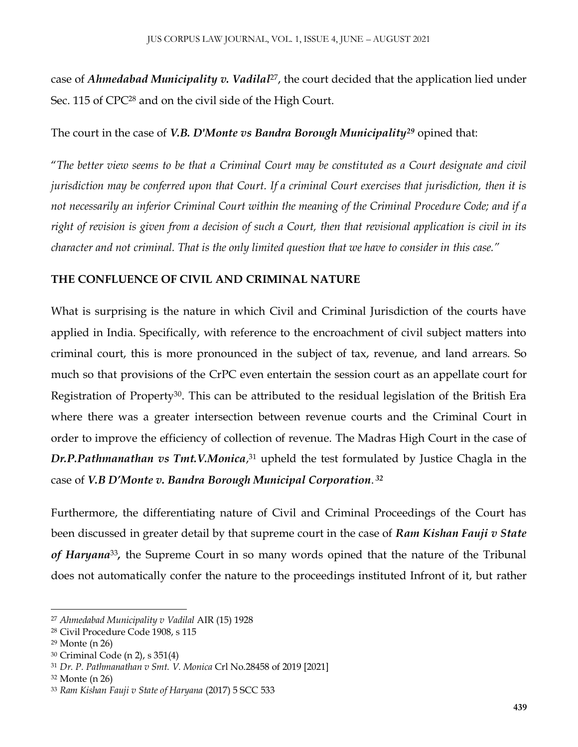case of *Ahmedabad Municipality v. Vadilal*27, the court decided that the application lied under Sec. 115 of CPC<sup>28</sup> and on the civil side of the High Court.

## The court in the case of *V.B. D'Monte vs Bandra Borough Municipality<sup>29</sup>* opined that:

"*The better view seems to be that a Criminal Court may be constituted as a Court designate and civil jurisdiction may be conferred upon that Court. If a criminal Court exercises that jurisdiction, then it is not necessarily an inferior Criminal Court within the meaning of the Criminal Procedure Code; and if a right of revision is given from a decision of such a Court, then that revisional application is civil in its character and not criminal. That is the only limited question that we have to consider in this case."*

# **THE CONFLUENCE OF CIVIL AND CRIMINAL NATURE**

What is surprising is the nature in which Civil and Criminal Jurisdiction of the courts have applied in India. Specifically, with reference to the encroachment of civil subject matters into criminal court, this is more pronounced in the subject of tax, revenue, and land arrears. So much so that provisions of the CrPC even entertain the session court as an appellate court for Registration of Property30. This can be attributed to the residual legislation of the British Era where there was a greater intersection between revenue courts and the Criminal Court in order to improve the efficiency of collection of revenue. The Madras High Court in the case of *Dr.P.Pathmanathan vs Tmt.V.Monica*, <sup>31</sup> upheld the test formulated by Justice Chagla in the case of *V.B D'Monte v. Bandra Borough Municipal Corporation*. *32*

Furthermore, the differentiating nature of Civil and Criminal Proceedings of the Court has been discussed in greater detail by that supreme court in the case of *Ram Kishan Fauji v State*  of Haryana<sup>33</sup>, the Supreme Court in so many words opined that the nature of the Tribunal does not automatically confer the nature to the proceedings instituted Infront of it, but rather

<sup>27</sup> *Ahmedabad Municipality v Vadilal* AIR (15) 1928

<sup>28</sup> Civil Procedure Code 1908, s 115

<sup>29</sup> Monte (n 26)

<sup>30</sup> Criminal Code (n 2), s 351(4)

<sup>31</sup> *Dr. P. Pathmanathan v Smt. V. Monica* Crl No.28458 of 2019 [2021]

<sup>32</sup> Monte (n 26)

<sup>33</sup> *Ram Kishan Fauji v State of Haryana* (2017) 5 SCC 533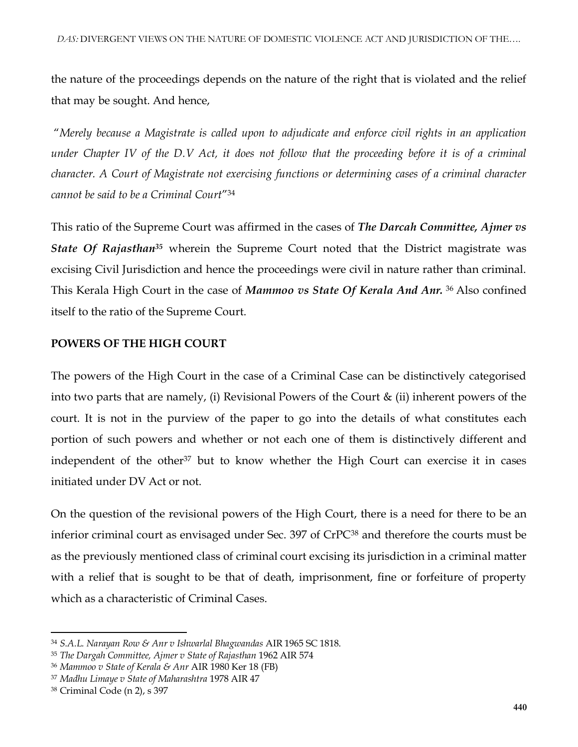the nature of the proceedings depends on the nature of the right that is violated and the relief that may be sought. And hence,

"*Merely because a Magistrate is called upon to adjudicate and enforce civil rights in an application under Chapter IV of the D.V Act, it does not follow that the proceeding before it is of a criminal character. A Court of Magistrate not exercising functions or determining cases of a criminal character cannot be said to be a Criminal Court*" 34

This ratio of the Supreme Court was affirmed in the cases of *The Darcah Committee, Ajmer vs State Of Rajasthan<sup>35</sup>* wherein the Supreme Court noted that the District magistrate was excising Civil Jurisdiction and hence the proceedings were civil in nature rather than criminal. This Kerala High Court in the case of *Mammoo vs State Of Kerala And Anr.* <sup>36</sup> Also confined itself to the ratio of the Supreme Court.

## **POWERS OF THE HIGH COURT**

The powers of the High Court in the case of a Criminal Case can be distinctively categorised into two parts that are namely, (i) Revisional Powers of the Court & (ii) inherent powers of the court. It is not in the purview of the paper to go into the details of what constitutes each portion of such powers and whether or not each one of them is distinctively different and independent of the other<sup>37</sup> but to know whether the High Court can exercise it in cases initiated under DV Act or not.

On the question of the revisional powers of the High Court, there is a need for there to be an inferior criminal court as envisaged under Sec. 397 of CrPC<sup>38</sup> and therefore the courts must be as the previously mentioned class of criminal court excising its jurisdiction in a criminal matter with a relief that is sought to be that of death, imprisonment, fine or forfeiture of property which as a characteristic of Criminal Cases.

<sup>34</sup> *S.A.L. Narayan Row & Anr v Ishwarlal Bhagwandas* AIR 1965 SC 1818.

<sup>35</sup> *The Dargah Committee, Ajmer v State of Rajasthan* 1962 AIR 574

<sup>36</sup> *Mammoo v State of Kerala & Anr* AIR 1980 Ker 18 (FB)

<sup>37</sup> *Madhu Limaye v State of Maharashtra* 1978 AIR 47

<sup>38</sup> Criminal Code (n 2), s 397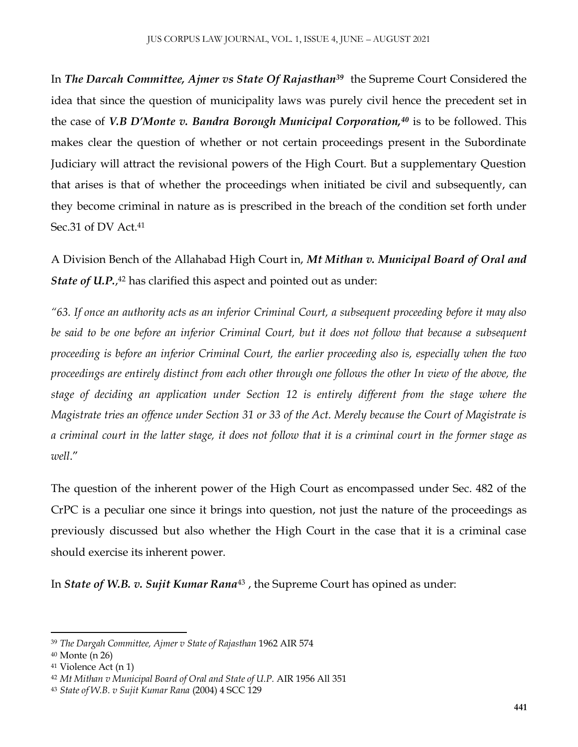In *The Darcah Committee, Ajmer vs State Of Rajasthan<sup>39</sup>* the Supreme Court Considered the idea that since the question of municipality laws was purely civil hence the precedent set in the case of *V.B D'Monte v. Bandra Borough Municipal Corporation,<sup>40</sup>* is to be followed. This makes clear the question of whether or not certain proceedings present in the Subordinate Judiciary will attract the revisional powers of the High Court. But a supplementary Question that arises is that of whether the proceedings when initiated be civil and subsequently, can they become criminal in nature as is prescribed in the breach of the condition set forth under Sec.31 of DV Act.<sup>41</sup>

A Division Bench of the Allahabad High Court in, *Mt Mithan v. Municipal Board of Oral and State of U.P.*, <sup>42</sup> has clarified this aspect and pointed out as under:

*"63. If once an authority acts as an inferior Criminal Court, a subsequent proceeding before it may also be said to be one before an inferior Criminal Court, but it does not follow that because a subsequent proceeding is before an inferior Criminal Court, the earlier proceeding also is, especially when the two proceedings are entirely distinct from each other through one follows the other In view of the above, the stage of deciding an application under Section 12 is entirely different from the stage where the Magistrate tries an offence under Section 31 or 33 of the Act. Merely because the Court of Magistrate is a criminal court in the latter stage, it does not follow that it is a criminal court in the former stage as well*."

The question of the inherent power of the High Court as encompassed under Sec. 482 of the CrPC is a peculiar one since it brings into question, not just the nature of the proceedings as previously discussed but also whether the High Court in the case that it is a criminal case should exercise its inherent power.

In *State of W.B. v. Sujit Kumar Rana*<sup>43</sup> , the Supreme Court has opined as under:

<sup>39</sup> *The Dargah Committee, Ajmer v State of Rajasthan* 1962 AIR 574

<sup>40</sup> Monte (n 26)

<sup>41</sup> Violence Act (n 1)

<sup>42</sup> *Mt Mithan v Municipal Board of Oral and State of U.P.* AIR 1956 All 351

<sup>43</sup> *State of W.B. v Sujit Kumar Rana* (2004) 4 SCC 129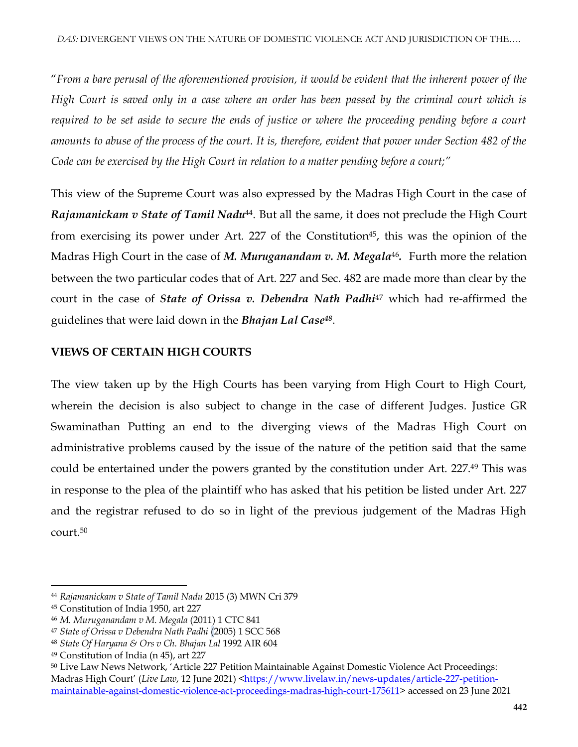"*From a bare perusal of the aforementioned provision, it would be evident that the inherent power of the High Court is saved only in a case where an order has been passed by the criminal court which is required to be set aside to secure the ends of justice or where the proceeding pending before a court amounts to abuse of the process of the court. It is, therefore, evident that power under Section 482 of the Code can be exercised by the High Court in relation to a matter pending before a court;"*

This view of the Supreme Court was also expressed by the Madras High Court in the case of *Rajamanickam v State of Tamil Nadu*44. But all the same, it does not preclude the High Court from exercising its power under Art. 227 of the Constitution<sup>45</sup>, this was the opinion of the Madras High Court in the case of *M. Muruganandam v. M. Megala*<sup>46</sup>. Furth more the relation between the two particular codes that of Art. 227 and Sec. 482 are made more than clear by the court in the case of *State of Orissa v. Debendra Nath Padhi*<sup>47</sup> which had re-affirmed the guidelines that were laid down in the *Bhajan Lal Case<sup>48</sup>* .

# **VIEWS OF CERTAIN HIGH COURTS**

The view taken up by the High Courts has been varying from High Court to High Court, wherein the decision is also subject to change in the case of different Judges. Justice GR Swaminathan Putting an end to the diverging views of the Madras High Court on administrative problems caused by the issue of the nature of the petition said that the same could be entertained under the powers granted by the constitution under Art. 227.<sup>49</sup> This was in response to the plea of the plaintiff who has asked that his petition be listed under Art. 227 and the registrar refused to do so in light of the previous judgement of the Madras High court.<sup>50</sup>

 $\overline{\phantom{a}}$ 

<sup>44</sup> *Rajamanickam v State of Tamil Nadu* 2015 (3) MWN Cri 379

<sup>45</sup> Constitution of India 1950, art 227

<sup>46</sup> *M. Muruganandam v M. Megala* (2011) 1 CTC 841

<sup>47</sup> *State of Orissa v Debendra Nath Padhi* (2005) 1 SCC 568

<sup>48</sup> *State Of Haryana & Ors v Ch. Bhajan Lal* 1992 AIR 604

<sup>49</sup> Constitution of India (n 45), art 227

<sup>50</sup> Live Law News Network, 'Article 227 Petition Maintainable Against Domestic Violence Act Proceedings: Madras High Court' (*Live Law*, 12 June 2021) [<https://www.livelaw.in/news-updates/article-227-petition](https://www.livelaw.in/news-updates/article-227-petition-maintainable-against-domestic-violence-act-proceedings-madras-high-court-175611)[maintainable-against-domestic-violence-act-proceedings-madras-high-court-175611>](https://www.livelaw.in/news-updates/article-227-petition-maintainable-against-domestic-violence-act-proceedings-madras-high-court-175611) accessed on 23 June 2021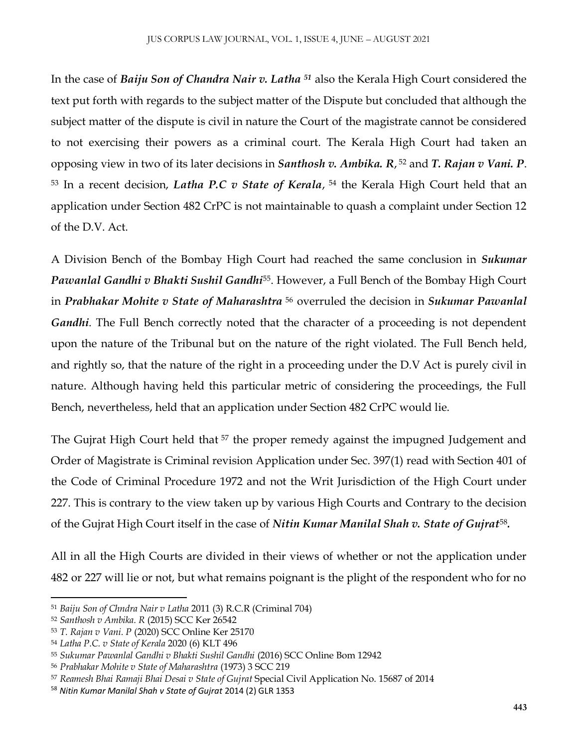In the case of *Baiju Son of Chandra Nair v. Latha <sup>51</sup>* also the Kerala High Court considered the text put forth with regards to the subject matter of the Dispute but concluded that although the subject matter of the dispute is civil in nature the Court of the magistrate cannot be considered to not exercising their powers as a criminal court. The Kerala High Court had taken an opposing view in two of its later decisions in *Santhosh v. Ambika. R*, <sup>52</sup> and *T. Rajan v Vani. P*. <sup>53</sup> In a recent decision, *Latha P.C v State of Kerala*, <sup>54</sup> the Kerala High Court held that an application under Section 482 CrPC is not maintainable to quash a complaint under Section 12 of the D.V. Act.

A Division Bench of the Bombay High Court had reached the same conclusion in *Sukumar Pawanlal Gandhi v Bhakti Sushil Gandhi*55. However, a Full Bench of the Bombay High Court in *Prabhakar Mohite v State of Maharashtra* <sup>56</sup> overruled the decision in *Sukumar Pawanlal Gandhi*. The Full Bench correctly noted that the character of a proceeding is not dependent upon the nature of the Tribunal but on the nature of the right violated. The Full Bench held, and rightly so, that the nature of the right in a proceeding under the D.V Act is purely civil in nature. Although having held this particular metric of considering the proceedings, the Full Bench, nevertheless, held that an application under Section 482 CrPC would lie.

The Gujrat High Court held that <sup>57</sup> the proper remedy against the impugned Judgement and Order of Magistrate is Criminal revision Application under Sec. 397(1) read with Section 401 of the Code of Criminal Procedure 1972 and not the Writ Jurisdiction of the High Court under 227. This is contrary to the view taken up by various High Courts and Contrary to the decision of the Gujrat High Court itself in the case of *Nitin Kumar Manilal Shah v. State of Gujrat*<sup>58</sup> *.*

All in all the High Courts are divided in their views of whether or not the application under 482 or 227 will lie or not, but what remains poignant is the plight of the respondent who for no

 $\overline{\phantom{a}}$ 

<sup>51</sup> *Baiju Son of Chndra Nair v Latha* 2011 (3) R.C.R (Criminal 704)

<sup>52</sup> *Santhosh v Ambika. R* (2015) SCC Ker 26542

<sup>53</sup> *T. Rajan v Vani. P* (2020) SCC Online Ker 25170

<sup>54</sup> *Latha P.C. v State of Kerala* 2020 (6) KLT 496

<sup>55</sup> *Sukumar Pawanlal Gandhi v Bhakti Sushil Gandhi* (2016) SCC Online Bom 12942

<sup>56</sup> *Prabhakar Mohite v State of Maharashtra* (1973) 3 SCC 219

<sup>57</sup> *Reamesh Bhai Ramaji Bhai Desai v State of Gujrat* Special Civil Application No. 15687 of 2014

<sup>58</sup> *Nitin Kumar Manilal Shah v State of Gujrat* 2014 (2) GLR 1353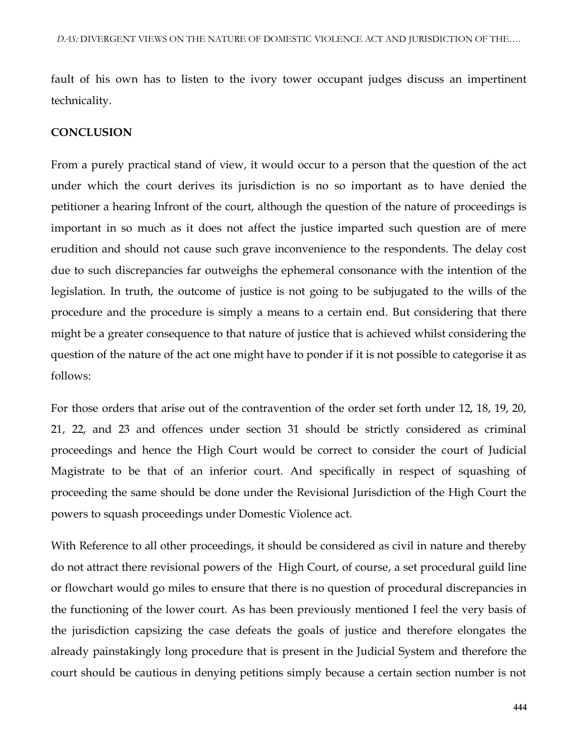fault of his own has to listen to the ivory tower occupant judges discuss an impertinent technicality.

#### **CONCLUSION**

From a purely practical stand of view, it would occur to a person that the question of the act under which the court derives its jurisdiction is no so important as to have denied the petitioner a hearing Infront of the court, although the question of the nature of proceedings is important in so much as it does not affect the justice imparted such question are of mere erudition and should not cause such grave inconvenience to the respondents. The delay cost due to such discrepancies far outweighs the ephemeral consonance with the intention of the legislation. In truth, the outcome of justice is not going to be subjugated to the wills of the procedure and the procedure is simply a means to a certain end. But considering that there might be a greater consequence to that nature of justice that is achieved whilst considering the question of the nature of the act one might have to ponder if it is not possible to categorise it as follows:

For those orders that arise out of the contravention of the order set forth under 12, 18, 19, 20, 21, 22, and 23 and offences under section 31 should be strictly considered as criminal proceedings and hence the High Court would be correct to consider the court of Judicial Magistrate to be that of an inferior court. And specifically in respect of squashing of proceeding the same should be done under the Revisional Jurisdiction of the High Court the powers to squash proceedings under Domestic Violence act.

With Reference to all other proceedings, it should be considered as civil in nature and thereby do not attract there revisional powers of the High Court, of course, a set procedural guild line or flowchart would go miles to ensure that there is no question of procedural discrepancies in the functioning of the lower court. As has been previously mentioned I feel the very basis of the jurisdiction capsizing the case defeats the goals of justice and therefore elongates the already painstakingly long procedure that is present in the Judicial System and therefore the court should be cautious in denying petitions simply because a certain section number is not